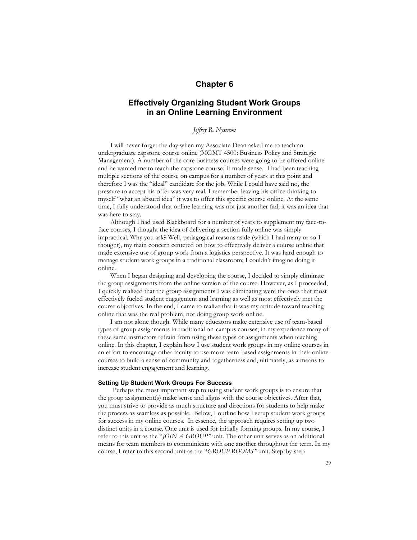# **Chapter 6**

# **Effectively Organizing Student Work Groups in an Online Learning Environment**

# *Jeffrey R. Nystrom*

I will never forget the day when my Associate Dean asked me to teach an undergraduate capstone course online (MGMT 4500: Business Policy and Strategic Management). A number of the core business courses were going to be offered online and he wanted me to teach the capstone course. It made sense. I had been teaching multiple sections of the course on campus for a number of years at this point and therefore I was the "ideal" candidate for the job. While I could have said no, the pressure to accept his offer was very real. I remember leaving his office thinking to myself "what an absurd idea" it was to offer this specific course online. At the same time, I fully understood that online learning was not just another fad; it was an idea that was here to stay.

Although I had used Blackboard for a number of years to supplement my face-toface courses, I thought the idea of delivering a section fully online was simply impractical. Why you ask? Well, pedagogical reasons aside (which I had many or so I thought), my main concern centered on how to effectively deliver a course online that made extensive use of group work from a logistics perspective. It was hard enough to manage student work groups in a traditional classroom; I couldn't imagine doing it online.

When I began designing and developing the course, I decided to simply eliminate the group assignments from the online version of the course. However, as I proceeded, I quickly realized that the group assignments I was eliminating were the ones that most effectively fueled student engagement and learning as well as most effectively met the course objectives. In the end, I came to realize that it was my attitude toward teaching online that was the real problem, not doing group work online.

I am not alone though. While many educators make extensive use of team-based types of group assignments in traditional on-campus courses, in my experience many of these same instructors refrain from using these types of assignments when teaching online. In this chapter, I explain how I use student work groups in my online courses in an effort to encourage other faculty to use more team-based assignments in their online courses to build a sense of community and togetherness and, ultimately, as a means to increase student engagement and learning.

### **Setting Up Student Work Groups For Success**

Perhaps the most important step to using student work groups is to ensure that the group assignment(s) make sense and aligns with the course objectives. After that, you must strive to provide as much structure and directions for students to help make the process as seamless as possible. Below, I outline how I setup student work groups for success in my online courses. In essence, the approach requires setting up two distinct units in a course. One unit is used for initially forming groups. In my course, I refer to this unit as the "*JOIN A GROUP"* unit. The other unit serves as an additional means for team members to communicate with one another throughout the term. In my course, I refer to this second unit as the "*GROUP ROOMS"* unit. Step-by-step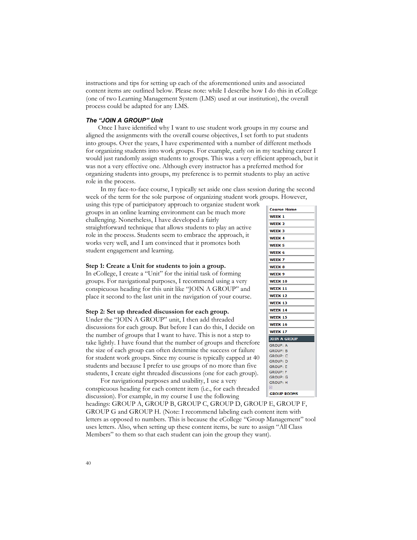instructions and tips for setting up each of the aforementioned units and associated content items are outlined below. Please note: while I describe how I do this in eCollege (one of two Learning Management System (LMS) used at our institution), the overall process could be adapted for any LMS.

## *The "JOIN A GROUP" Unit*

Once I have identified why I want to use student work groups in my course and aligned the assignments with the overall course objectives, I set forth to put students into groups. Over the years, I have experimented with a number of different methods for organizing students into work groups. For example, early on in my teaching career I would just randomly assign students to groups. This was a very efficient approach, but it was not a very effective one. Although every instructor has a preferred method for organizing students into groups, my preference is to permit students to play an active role in the process.

In my face-to-face course, I typically set aside one class session during the second week of the term for the sole purpose of organizing student work groups. However,

using this type of participatory approach to organize student work groups in an online learning environment can be much more challenging. Nonetheless, I have developed a fairly straightforward technique that allows students to play an active role in the process. Students seem to embrace the approach, it works very well, and I am convinced that it promotes both student engagement and learning.

## **Step 1: Create a Unit for students to join a group.**

In eCollege, I create a "Unit" for the initial task of forming groups. For navigational purposes, I recommend using a very conspicuous heading for this unit like "JOIN A GROUP" and place it second to the last unit in the navigation of your course.

# **Step 2: Set up threaded discussion for each group.**

Under the "JOIN A GROUP" unit, I then add threaded discussions for each group. But before I can do this, I decide on the number of groups that I want to have. This is not a step to take lightly. I have found that the number of groups and therefore the size of each group can often determine the success or failure for student work groups. Since my course is typically capped at 40 students and because I prefer to use groups of no more than five students, I create eight threaded discussions (one for each group).

For navigational purposes and usability, I use a very conspicuous heading for each content item (i.e., for each threaded discussion). For example, in my course I use the following

headings: GROUP A, GROUP B, GROUP C, GROUP D, GROUP E, GROUP F, GROUP G and GROUP H. (Note: I recommend labeling each content item with letters as opposed to numbers. This is because the eCollege "Group Management" tool uses letters. Also, when setting up these content items, be sure to assign "All Class Members" to them so that each student can join the group they want).

| <b>Course Home</b>  |
|---------------------|
| WEEK <sub>1</sub>   |
| WEEK <sub>2</sub>   |
| WEEK 3              |
| <b>WEEK4</b>        |
| WEEK <sub>5</sub>   |
| WEEK <sub>6</sub>   |
| WEEK <sub>7</sub>   |
| WEEK 8              |
| WEEK <sub>9</sub>   |
| <b>WEEK 10</b>      |
| WEEK 11             |
| <b>WEEK 12</b>      |
| WEEK 13             |
| <b>WEEK 14</b>      |
| <b>WEEK 15</b>      |
| WEEK 16             |
| <b>WEEK 17</b>      |
| <b>JOIN A GROUP</b> |
| GROUP: A            |
| <b>GROUP: B</b>     |
| GROUP: C            |
| <b>GROUP: D</b>     |
| <b>GROUP: E</b>     |
| <b>GROUP: F</b>     |
| <b>GROUP: G</b>     |
| GROUP: H            |
| 찌                   |
| <b>GROUP ROOMS</b>  |
|                     |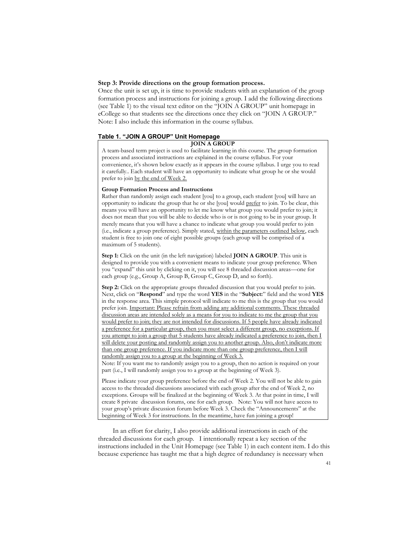## **Step 3: Provide directions on the group formation process.**

Once the unit is set up, it is time to provide students with an explanation of the group formation process and instructions for joining a group. I add the following directions (see Table 1) to the visual text editor on the "JOIN A GROUP" unit homepage in eCollege so that students see the directions once they click on "JOIN A GROUP." Note: I also include this information in the course syllabus.

## **Table 1. "JOIN A GROUP" Unit Homepage**

#### **JOIN A GROUP**

A team-based term project is used to facilitate learning in this course. The group formation process and associated instructions are explained in the course syllabus. For your convenience, it's shown below exactly as it appears in the course syllabus. I urge you to read it carefully.. Each student will have an opportunity to indicate what group he or she would prefer to join by the end of Week 2.

### **Group Formation Process and Instructions**

Rather than randomly assign each student [you] to a group, each student [you] will have an opportunity to indicate the group that he or she [you] would prefer to join. To be clear, this means you will have an opportunity to let me know what group you would prefer to join; it does not mean that you will be able to decide who is or is not going to be in your group. It merely means that you will have a chance to indicate what group you would prefer to join (i.e., indicate a group preference). Simply stated, within the parameters outlined below, each student is free to join one of eight possible groups (each group will be comprised of a maximum of 5 students).

**Step 1:** Click on the unit (in the left navigation) labeled **JOIN A GROUP**. This unit is designed to provide you with a convenient means to indicate your group preference. When you "expand" this unit by clicking on it, you will see 8 threaded discussion areas—one for each group (e.g., Group A, Group B, Group C, Group D, and so forth).

**Step 2:** Click on the appropriate groups threaded discussion that you would prefer to join. Next, click on "**Respond**" and type the word **YES** in the "**Subject:**" field and the word **YES** in the response area. This simple protocol will indicate to me this is the group that you would prefer join. Important: Please refrain from adding any additional comments. These threaded discussion areas are intended solely as a means for you to indicate to me the group that you would prefer to join; they are not intended for discussions. If 5 people have already indicated a preference for a particular group, then you must select a different group, no exceptions. If you attempt to join a group that 5 students have already indicated a preference to join, then I will delete your posting and randomly assign you to another group. Also, don't indicate more than one group preference. If you indicate more than one group preference, then I will randomly assign you to a group at the beginning of Week 3.

Note: If you want me to randomly assign you to a group, then no action is required on your part (i.e., I will randomly assign you to a group at the beginning of Week 3).

Please indicate your group preference before the end of Week 2. You will not be able to gain access to the threaded discussions associated with each group after the end of Week 2, no exceptions. Groups will be finalized at the beginning of Week 3. At that point in time, I will create 8 private discussion forums, one for each group. Note: You will not have access to your group's private discussion forum before Week 3. Check the "Announcements" at the beginning of Week 3 for instructions. In the meantime, have fun joining a group!

In an effort for clarity, I also provide additional instructions in each of the threaded discussions for each group. I intentionally repeat a key section of the instructions included in the Unit Homepage (see Table 1) in each content item. I do this because experience has taught me that a high degree of redundancy is necessary when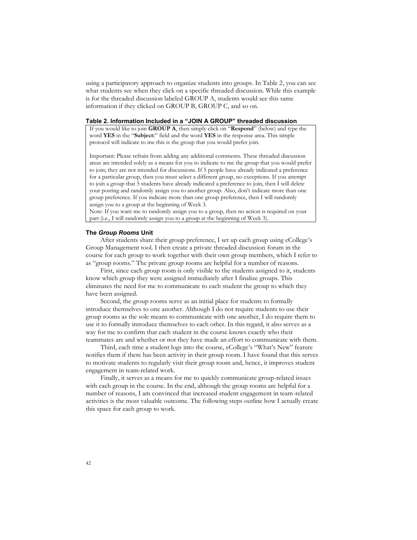using a participatory approach to organize students into groups. In Table 2, you can see what students see when they click on a specific threaded discussion. While this example is for the threaded discussion labeled GROUP A, students would see this same information if they clicked on GROUP B, GROUP C, and so on.

### **Table 2. Information Included in a "JOIN A GROUP" threaded discussion**

If you would like to join **GROUP A**, then simply click on "**Respond**" (below) and type the word **YES** in the "**Subject:**" field and the word **YES** in the response area. This simple protocol will indicate to me this is the group that you would prefer join.

Important: Please refrain from adding any additional comments. These threaded discussion areas are intended solely as a means for you to indicate to me the group that you would prefer to join; they are not intended for discussions. If 5 people have already indicated a preference for a particular group, then you must select a different group, no exceptions. If you attempt to join a group that 5 students have already indicated a preference to join, then I will delete your posting and randomly assign you to another group. Also, don't indicate more than one group preference. If you indicate more than one group preference, then I will randomly assign you to a group at the beginning of Week 3.

Note: If you want me to randomly assign you to a group, then no action is required on your part (i.e., I will randomly assign you to a group at the beginning of Week 3).

#### **The** *Group Rooms* **Unit**

After students share their group preference, I set up each group using eCollege's Group Management tool. I then create a private threaded discussion forum in the course for each group to work together with their own group members, which I refer to as "group rooms." The private group rooms are helpful for a number of reasons.

First, since each group room is only visible to the students assigned to it, students know which group they were assigned immediately after I finalize groups. This eliminates the need for me to communicate to each student the group to which they have been assigned.

Second, the group rooms serve as an initial place for students to formally introduce themselves to one another. Although I do not require students to use their group rooms as the sole means to communicate with one another, I do require them to use it to formally introduce themselves to each other. In this regard, it also serves as a way for me to confirm that each student in the course knows exactly who their teammates are and whether or not they have made an effort to communicate with them.

Third, each time a student logs into the course, eCollege's "What's New" feature notifies them if there has been activity in their group room. I have found that this serves to motivate students to regularly visit their group room and, hence, it improves student engagement in team-related work.

Finally, it serves as a means for me to quickly communicate group-related issues with each group in the course. In the end, although the group rooms are helpful for a number of reasons, I am convinced that increased student engagement in team-related activities is the most valuable outcome. The following steps outline how I actually create this space for each group to work.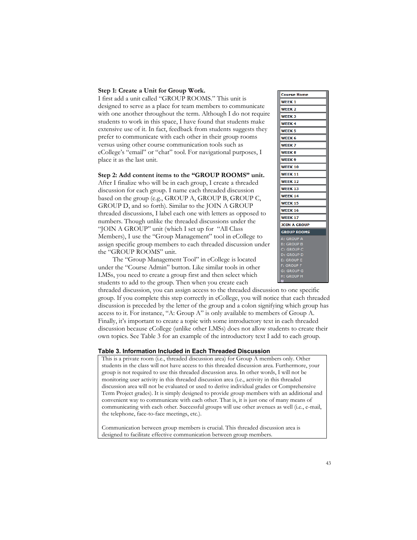#### **Step 1: Create a Unit for Group Work.**

I first add a unit called "GROUP ROOMS." This unit is designed to serve as a place for team members to communicate with one another throughout the term. Although I do not require students to work in this space, I have found that students make extensive use of it. In fact, feedback from students suggests they prefer to communicate with each other in their group rooms versus using other course communication tools such as eCollege's "email" or "chat" tool. For navigational purposes, I place it as the last unit.

## **Step 2: Add content items to the "GROUP ROOMS" unit.**

After I finalize who will be in each group, I create a threaded discussion for each group. I name each threaded discussion based on the group (e.g., GROUP A, GROUP B, GROUP C, GROUP D, and so forth). Similar to the JOIN A GROUP threaded discussions, I label each one with letters as opposed to numbers. Though unlike the threaded discussions under the "JOIN A GROUP" unit (which I set up for "All Class Members), I use the "Group Management" tool in eCollege to assign specific group members to each threaded discussion under the "GROUP ROOMS" unit.

The "Group Management Tool" in eCollege is located under the "Course Admin" button. Like similar tools in other LMSs, you need to create a group first and then select which students to add to the group. Then when you create each

**Course Home WEEK1 WEEK 2 WEEK3 WEEK4 WEEK 5** WEEK<sub>6</sub> **WEEK7 WEEK 8** WEEK 9 **WEEK 10 WEEK 11 WEEK 12 WEEK 13 WEEK 14 WEEK 15 WEEK 16 WEEK 17 JOIN A GROUP GROUP ROOMS** A: GROUP A<br>B: GROUP B C: GROUP C<br>D: GROUP D **GROUP E GROUP G** GROUP

threaded discussion, you can assign access to the threaded discussion to one specific group. If you complete this step correctly in eCollege, you will notice that each threaded discussion is preceded by the letter of the group and a colon signifying which group has access to it. For instance, "A: Group A" is only available to members of Group A. Finally, it's important to create a topic with some introductory text in each threaded discussion because eCollege (unlike other LMSs) does not allow students to create their own topics. See Table 3 for an example of the introductory text I add to each group.

#### **Table 3. Information Included in Each Threaded Discussion**

This is a private room (i.e., threaded discussion area) for Group A members only. Other students in the class will not have access to this threaded discussion area. Furthermore, your group is not required to use this threaded discussion area. In other words, I will not be monitoring user activity in this threaded discussion area (i.e., activity in this threaded discussion area will not be evaluated or used to derive individual grades or Comprehensive Term Project grades). It is simply designed to provide group members with an additional and convenient way to communicate with each other. That is, it is just one of many means of communicating with each other. Successful groups will use other avenues as well (i.e., e-mail, the telephone, face-to-face meetings, etc.).

Communication between group members is crucial. This threaded discussion area is designed to facilitate effective communication between group members.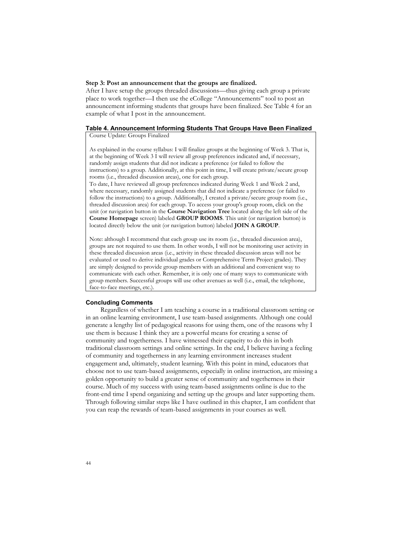#### **Step 3: Post an announcement that the groups are finalized.**

After I have setup the groups threaded discussions—thus giving each group a private place to work together—I then use the eCollege "Announcements" tool to post an announcement informing students that groups have been finalized. See Table 4 for an example of what I post in the announcement.

## **Table 4. Announcement Informing Students That Groups Have Been Finalized**

Course Update: Groups Finalized

As explained in the course syllabus: I will finalize groups at the beginning of Week 3. That is, at the beginning of Week 3 I will review all group preferences indicated and, if necessary, randomly assign students that did not indicate a preference (or failed to follow the instructions) to a group. Additionally, at this point in time, I will create private/secure group rooms (i.e., threaded discussion areas), one for each group.

To date, I have reviewed all group preferences indicated during Week 1 and Week 2 and, where necessary, randomly assigned students that did not indicate a preference (or failed to follow the instructions) to a group. Additionally, I created a private/secure group room (i.e., threaded discussion area) for each group. To access your group's group room, click on the unit (or navigation button in the **Course Navigation Tree** located along the left side of the **Course Homepage** screen) labeled **GROUP ROOMS**. This unit (or navigation button) is located directly below the unit (or navigation button) labeled **JOIN A GROUP**.

Note: although I recommend that each group use its room (i.e., threaded discussion area), groups are not required to use them. In other words, I will not be monitoring user activity in these threaded discussion areas (i.e., activity in these threaded discussion areas will not be evaluated or used to derive individual grades or Comprehensive Term Project grades). They are simply designed to provide group members with an additional and convenient way to communicate with each other. Remember, it is only one of many ways to communicate with group members. Successful groups will use other avenues as well (i.e., email, the telephone, face-to-face meetings, etc.).

## **Concluding Comments**

Regardless of whether I am teaching a course in a traditional classroom setting or in an online learning environment, I use team-based assignments. Although one could generate a lengthy list of pedagogical reasons for using them, one of the reasons why I use them is because I think they are a powerful means for creating a sense of community and togetherness. I have witnessed their capacity to do this in both traditional classroom settings and online settings. In the end, I believe having a feeling of community and togetherness in any learning environment increases student engagement and, ultimately, student learning. With this point in mind, educators that choose not to use team-based assignments, especially in online instruction, are missing a golden opportunity to build a greater sense of community and togetherness in their course. Much of my success with using team-based assignments online is due to the front-end time I spend organizing and setting up the groups and later supporting them. Through following similar steps like I have outlined in this chapter, I am confident that you can reap the rewards of team-based assignments in your courses as well.